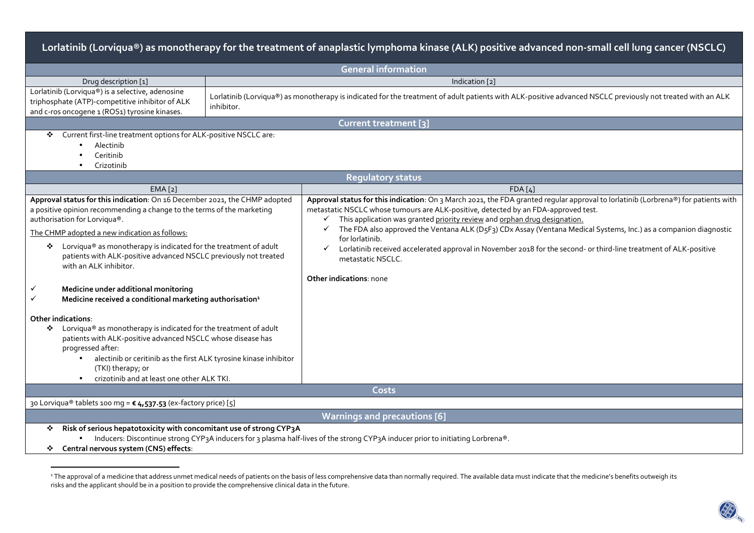| Lorlatinib (Lorviqua®) as monotherapy for the treatment of anaplastic lymphoma kinase (ALK) positive advanced non-small cell lung cancer (NSCLC)                                                                                                                                                                                                                                                                                                                                                                                                                                                                                                                                                                                                                                                                                      |                                                                                                                                                                          |                                                                                                                                                                                                                                                                                                                                                                                                                                                                                                                                                                                                                                                                               |  |  |  |  |
|---------------------------------------------------------------------------------------------------------------------------------------------------------------------------------------------------------------------------------------------------------------------------------------------------------------------------------------------------------------------------------------------------------------------------------------------------------------------------------------------------------------------------------------------------------------------------------------------------------------------------------------------------------------------------------------------------------------------------------------------------------------------------------------------------------------------------------------|--------------------------------------------------------------------------------------------------------------------------------------------------------------------------|-------------------------------------------------------------------------------------------------------------------------------------------------------------------------------------------------------------------------------------------------------------------------------------------------------------------------------------------------------------------------------------------------------------------------------------------------------------------------------------------------------------------------------------------------------------------------------------------------------------------------------------------------------------------------------|--|--|--|--|
|                                                                                                                                                                                                                                                                                                                                                                                                                                                                                                                                                                                                                                                                                                                                                                                                                                       |                                                                                                                                                                          | <b>General information</b>                                                                                                                                                                                                                                                                                                                                                                                                                                                                                                                                                                                                                                                    |  |  |  |  |
| Drug description [1]                                                                                                                                                                                                                                                                                                                                                                                                                                                                                                                                                                                                                                                                                                                                                                                                                  | Indication [2]                                                                                                                                                           |                                                                                                                                                                                                                                                                                                                                                                                                                                                                                                                                                                                                                                                                               |  |  |  |  |
| Lorlatinib (Lorviqua®) is a selective, adenosine<br>triphosphate (ATP)-competitive inhibitor of ALK<br>and c-ros oncogene 1 (ROS1) tyrosine kinases.                                                                                                                                                                                                                                                                                                                                                                                                                                                                                                                                                                                                                                                                                  | Lorlatinib (Lorviqua®) as monotherapy is indicated for the treatment of adult patients with ALK-positive advanced NSCLC previously not treated with an ALK<br>inhibitor. |                                                                                                                                                                                                                                                                                                                                                                                                                                                                                                                                                                                                                                                                               |  |  |  |  |
|                                                                                                                                                                                                                                                                                                                                                                                                                                                                                                                                                                                                                                                                                                                                                                                                                                       |                                                                                                                                                                          | Current treatment [3]                                                                                                                                                                                                                                                                                                                                                                                                                                                                                                                                                                                                                                                         |  |  |  |  |
| Current first-line treatment options for ALK-positive NSCLC are:<br>❖<br>Alectinib<br>Ceritinib<br>Crizotinib                                                                                                                                                                                                                                                                                                                                                                                                                                                                                                                                                                                                                                                                                                                         |                                                                                                                                                                          |                                                                                                                                                                                                                                                                                                                                                                                                                                                                                                                                                                                                                                                                               |  |  |  |  |
|                                                                                                                                                                                                                                                                                                                                                                                                                                                                                                                                                                                                                                                                                                                                                                                                                                       |                                                                                                                                                                          | <b>Regulatory status</b>                                                                                                                                                                                                                                                                                                                                                                                                                                                                                                                                                                                                                                                      |  |  |  |  |
| EMA[2]                                                                                                                                                                                                                                                                                                                                                                                                                                                                                                                                                                                                                                                                                                                                                                                                                                |                                                                                                                                                                          | FDA[4]                                                                                                                                                                                                                                                                                                                                                                                                                                                                                                                                                                                                                                                                        |  |  |  |  |
| Approval status for this indication: On 16 December 2021, the CHMP adopted<br>a positive opinion recommending a change to the terms of the marketing<br>authorisation for Lorviqua®.<br>The CHMP adopted a new indication as follows:<br>Lorviqua® as monotherapy is indicated for the treatment of adult<br>❖<br>patients with ALK-positive advanced NSCLC previously not treated<br>with an ALK inhibitor.<br>Medicine under additional monitoring<br>✓<br>Medicine received a conditional marketing authorisation <sup>1</sup><br>$\checkmark$<br><b>Other indications:</b><br>Lorviqua® as monotherapy is indicated for the treatment of adult<br>❖<br>patients with ALK-positive advanced NSCLC whose disease has<br>progressed after:<br>alectinib or ceritinib as the first ALK tyrosine kinase inhibitor<br>(TKI) therapy; or |                                                                                                                                                                          | Approval status for this indication: On 3 March 2021, the FDA granted regular approval to lorlatinib (Lorbrena®) for patients with<br>metastatic NSCLC whose tumours are ALK-positive, detected by an FDA-approved test.<br>This application was granted priority review and orphan drug designation.<br>✓<br>$\checkmark$ The FDA also approved the Ventana ALK (D <sub>5</sub> F <sub>3</sub> ) CDx Assay (Ventana Medical Systems, Inc.) as a companion diagnostic<br>for lorlatinib.<br>Lorlatinib received accelerated approval in November 2018 for the second- or third-line treatment of ALK-positive<br>$\checkmark$<br>metastatic NSCLC.<br>Other indications: none |  |  |  |  |
| crizotinib and at least one other ALK TKI.                                                                                                                                                                                                                                                                                                                                                                                                                                                                                                                                                                                                                                                                                                                                                                                            |                                                                                                                                                                          | Costs                                                                                                                                                                                                                                                                                                                                                                                                                                                                                                                                                                                                                                                                         |  |  |  |  |
| 30 Lorviqua® tablets 100 mg = € 4,537.53 (ex-factory price) [5]                                                                                                                                                                                                                                                                                                                                                                                                                                                                                                                                                                                                                                                                                                                                                                       |                                                                                                                                                                          |                                                                                                                                                                                                                                                                                                                                                                                                                                                                                                                                                                                                                                                                               |  |  |  |  |
|                                                                                                                                                                                                                                                                                                                                                                                                                                                                                                                                                                                                                                                                                                                                                                                                                                       |                                                                                                                                                                          | <b>Warnings and precautions [6]</b>                                                                                                                                                                                                                                                                                                                                                                                                                                                                                                                                                                                                                                           |  |  |  |  |
| Risk of serious hepatotoxicity with concomitant use of strong CYP3A<br>❖<br>Inducers: Discontinue strong CYP3A inducers for 3 plasma half-lives of the strong CYP3A inducer prior to initiating Lorbrena®.<br>Central nervous system (CNS) effects:                                                                                                                                                                                                                                                                                                                                                                                                                                                                                                                                                                                   |                                                                                                                                                                          |                                                                                                                                                                                                                                                                                                                                                                                                                                                                                                                                                                                                                                                                               |  |  |  |  |

<sup>&</sup>lt;sup>1</sup> The approval of a medicine that address unmet medical needs of patients on the basis of less comprehensive data than normally required. The available data must indicate that the medicine's benefits outweigh its risks and the applicant should be in a position to provide the comprehensive clinical data in the future.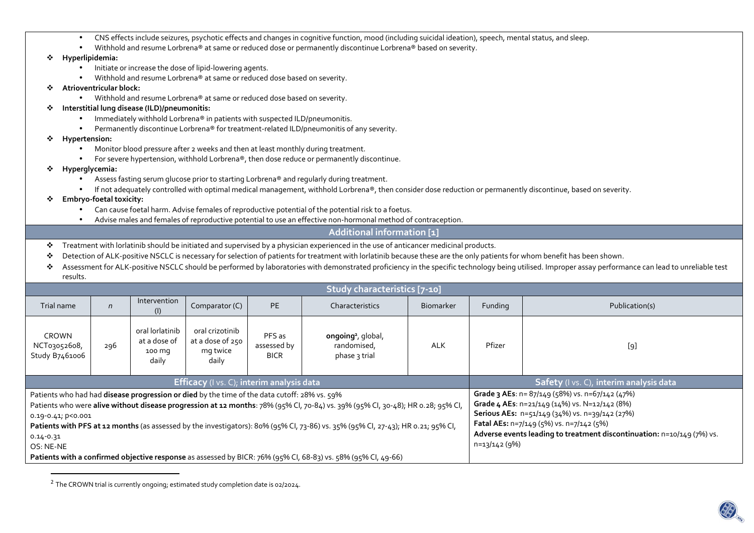|  | CNS effects include seizures, psychotic effects and changes in cognitive function, mood (including suicidal ideation), speech, mental status, and sleep. |  |  |  |  |  |
|--|----------------------------------------------------------------------------------------------------------------------------------------------------------|--|--|--|--|--|
|--|----------------------------------------------------------------------------------------------------------------------------------------------------------|--|--|--|--|--|

•Withhold and resume Lorbrena® at same or reduced dose or permanently discontinue Lorbrena® based on severity.

## **Hyperlipidemia:**

- Initiate or increase the dose of lipid-lowering agents.
- •Withhold and resume Lorbrena<sup>®</sup> at same or reduced dose based on severity.
- ❖ **Atrioventricular block:** 
	- Withhold and resume Lorbrena® at same or reduced dose based on severity.

## ÷ **Interstitial lung disease (ILD)/pneumonitis:**

- •Immediately withhold Lorbrena® in patients with suspected ILD/pneumonitis.
- •Permanently discontinue Lorbrena® for treatment-related ILD/pneumonitis of any severity.
- **Hypertension:** 
	- •Monitor blood pressure after 2 weeks and then at least monthly during treatment.
	- For severe hypertension, withhold Lorbrena®, then dose reduce or permanently discontinue.
- • **Hyperglycemia:** 
	- •Assess fasting serum glucose prior to starting Lorbrena® and regularly during treatment.
	- •If not adequately controlled with optimal medical management, withhold Lorbrena®, then consider dose reduction or permanently discontinue, based on severity.
- **Embryo-foetal toxicity:** 
	- •Can cause foetal harm. Advise females of reproductive potential of the potential risk to a foetus.
	- •Advise males and females of reproductive potential to use an effective non-hormonal method of contraception.

## **Additional information [1]**

- $\mathcal{L}_{\mathcal{P}}$ Treatment with lorlatinib should be initiated and supervised by a physician experienced in the use of anticancer medicinal products.
- ❖ Detection of ALK-positive NSCLC is necessary for selection of patients for treatment with lorlatinib because these are the only patients for whom benefit has been shown.
- ❖ Assessment for ALK-positive NSCLC should be performed by laboratories with demonstrated proficiency in the specific technology being utilised. Improper assay performance can lead to unreliable test results.

| Study characteristics [7-10]                                                                                                     |                                                                    |                                                                                                                                                                                                                          |  |                 |                  |                                                 |                                                                        |                                         |  |  |
|----------------------------------------------------------------------------------------------------------------------------------|--------------------------------------------------------------------|--------------------------------------------------------------------------------------------------------------------------------------------------------------------------------------------------------------------------|--|-----------------|------------------|-------------------------------------------------|------------------------------------------------------------------------|-----------------------------------------|--|--|
| Trial name                                                                                                                       | Intervention<br>Comparator (C)<br><b>PE</b><br>$\mathsf{n}$<br>(I) |                                                                                                                                                                                                                          |  | Characteristics | <b>Biomarker</b> |                                                 | Publication(s)                                                         |                                         |  |  |
| <b>CROWN</b><br>NCT03052608,<br>Study B7461006                                                                                   | 296                                                                | oral lorlatinib<br>oral crizotinib<br>PFS as<br>ongoing <sup>2</sup> , global,<br>at a dose of 250<br>at a dose of<br>randomised,<br>assessed by<br>mg twice<br>100 mg<br>phase 3 trial<br><b>BICR</b><br>daily<br>daily |  | <b>ALK</b>      | Pfizer           | [9]                                             |                                                                        |                                         |  |  |
| <b>Efficacy</b> (I vs. C); interim analysis data                                                                                 |                                                                    |                                                                                                                                                                                                                          |  |                 |                  |                                                 |                                                                        | Safety (I vs. C), interim analysis data |  |  |
| Patients who had had disease progression or died by the time of the data cutoff: 28% vs. 59%                                     |                                                                    |                                                                                                                                                                                                                          |  |                 |                  | Grade 3 AEs: n= 87/149 (58%) vs. n=67/142 (47%) |                                                                        |                                         |  |  |
| Patients who were alive without disease progression at 12 months: 78% (95% Cl, 70-84) vs. 39% (95% Cl, 30-48); HR 0.28; 95% Cl,  |                                                                    |                                                                                                                                                                                                                          |  |                 |                  |                                                 | Grade 4 AEs: n=21/149 (14%) vs. N=12/142 (8%)                          |                                         |  |  |
| $0.19 - 0.41$ ; $p < 0.001$                                                                                                      |                                                                    |                                                                                                                                                                                                                          |  |                 |                  |                                                 | Serious AEs: n=51/149 (34%) vs. n=39/142 (27%)                         |                                         |  |  |
| Patients with PFS at 12 months (as assessed by the investigators): 80% (95% Cl, 73-86) vs. 35% (95% Cl, 27-43); HR 0.21; 95% Cl, |                                                                    |                                                                                                                                                                                                                          |  |                 |                  |                                                 | Fatal AEs: n=7/149 (5%) vs. n=7/142 (5%)                               |                                         |  |  |
| $0.14 - 0.31$                                                                                                                    |                                                                    |                                                                                                                                                                                                                          |  |                 |                  |                                                 | Adverse events leading to treatment discontinuation: n=10/149 (7%) vs. |                                         |  |  |
| OS: NE-NE                                                                                                                        |                                                                    |                                                                                                                                                                                                                          |  |                 |                  |                                                 |                                                                        | n=13/142 (9%)                           |  |  |
| Patients with a confirmed objective response as assessed by BICR: 76% (95% CI, 68-83) vs. 58% (95% CI, 49-66)                    |                                                                    |                                                                                                                                                                                                                          |  |                 |                  |                                                 |                                                                        |                                         |  |  |

<sup>&</sup>lt;sup>2</sup> The CROWN trial is currently ongoing; estimated study completion date is 02/2024.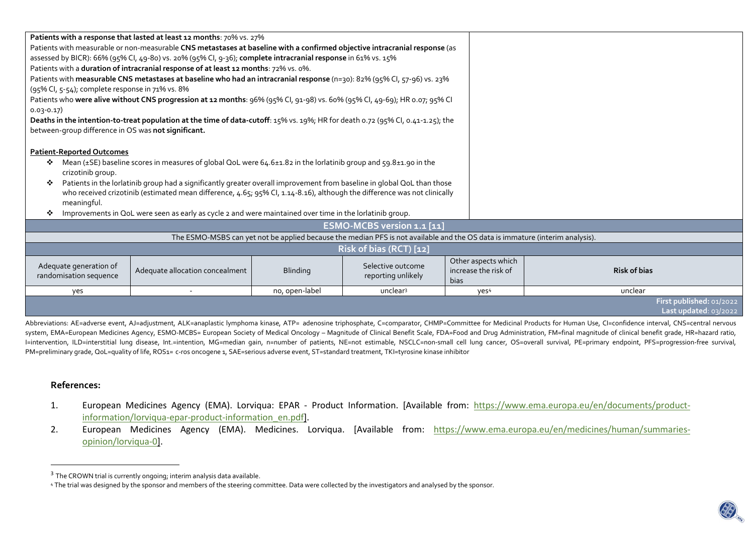|                                                                                                                          | Patients with a response that lasted at least 12 months: 70% vs. 27%                                                            |                  |                                                                                                                              |                      |                          |  |  |
|--------------------------------------------------------------------------------------------------------------------------|---------------------------------------------------------------------------------------------------------------------------------|------------------|------------------------------------------------------------------------------------------------------------------------------|----------------------|--------------------------|--|--|
|                                                                                                                          | Patients with measurable or non-measurable CNS metastases at baseline with a confirmed objective intracranial response (as      |                  |                                                                                                                              |                      |                          |  |  |
|                                                                                                                          | assessed by BICR): 66% (95% Cl, 49-80) vs. 20% (95% Cl, 9-36); complete intracranial response in 61% vs. 15%                    |                  |                                                                                                                              |                      |                          |  |  |
|                                                                                                                          | Patients with a duration of intracranial response of at least 12 months: 72% vs. 0%.                                            |                  |                                                                                                                              |                      |                          |  |  |
|                                                                                                                          | Patients with measurable CNS metastases at baseline who had an intracranial response (n=30): 82% (95% Cl, 57-96) vs. 23%        |                  |                                                                                                                              |                      |                          |  |  |
| (95% Cl, 5-54); complete response in 71% vs. 8%                                                                          |                                                                                                                                 |                  |                                                                                                                              |                      |                          |  |  |
|                                                                                                                          | Patients who were alive without CNS progression at 12 months: 96% (95% Cl, 91-98) vs. 60% (95% Cl, 49-69); HR 0.07; 95% Cl      |                  |                                                                                                                              |                      |                          |  |  |
| $0.03 - 0.17$                                                                                                            |                                                                                                                                 |                  |                                                                                                                              |                      |                          |  |  |
|                                                                                                                          | Deaths in the intention-to-treat population at the time of data-cutoff: 15% vs. 19%; HR for death 0.72 (95% CI, 0.41-1.25); the |                  |                                                                                                                              |                      |                          |  |  |
| between-group difference in OS was not significant.                                                                      |                                                                                                                                 |                  |                                                                                                                              |                      |                          |  |  |
|                                                                                                                          |                                                                                                                                 |                  |                                                                                                                              |                      |                          |  |  |
| <b>Patient-Reported Outcomes</b>                                                                                         |                                                                                                                                 |                  |                                                                                                                              |                      |                          |  |  |
| ❖                                                                                                                        | Mean (±SE) baseline scores in measures of global QoL were 64.6±1.82 in the lorlatinib group and 59.8±1.90 in the                |                  |                                                                                                                              |                      |                          |  |  |
| crizotinib group.                                                                                                        |                                                                                                                                 |                  |                                                                                                                              |                      |                          |  |  |
| ❖                                                                                                                        | Patients in the lorlatinib group had a significantly greater overall improvement from baseline in global QoL than those         |                  |                                                                                                                              |                      |                          |  |  |
| who received crizotinib (estimated mean difference, 4.65; 95% CI, 1.14-8.16), although the difference was not clinically |                                                                                                                                 |                  |                                                                                                                              |                      |                          |  |  |
| meaningful.                                                                                                              |                                                                                                                                 |                  |                                                                                                                              |                      |                          |  |  |
| Improvements in QoL were seen as early as cycle 2 and were maintained over time in the lorlatinib group.<br>❖            |                                                                                                                                 |                  |                                                                                                                              |                      |                          |  |  |
|                                                                                                                          |                                                                                                                                 |                  | ESMO-MCBS version 1.1 [11]                                                                                                   |                      |                          |  |  |
|                                                                                                                          |                                                                                                                                 |                  | The ESMO-MSBS can yet not be applied because the median PFS is not available and the OS data is immature (interim analysis). |                      |                          |  |  |
| Risk of bias (RCT) [12]                                                                                                  |                                                                                                                                 |                  |                                                                                                                              |                      |                          |  |  |
| Adequate generation of                                                                                                   |                                                                                                                                 |                  | Selective outcome                                                                                                            | Other aspects which  |                          |  |  |
| randomisation sequence                                                                                                   | Adequate allocation concealment                                                                                                 | <b>Blinding</b>  | reporting unlikely                                                                                                           | increase the risk of | <b>Risk of bias</b>      |  |  |
|                                                                                                                          |                                                                                                                                 | no, open-label   | unclear <sup>3</sup>                                                                                                         | bias                 |                          |  |  |
| yes                                                                                                                      |                                                                                                                                 | yes <sup>4</sup> | unclear                                                                                                                      |                      |                          |  |  |
|                                                                                                                          |                                                                                                                                 |                  |                                                                                                                              |                      | First published: 01/2022 |  |  |
|                                                                                                                          |                                                                                                                                 |                  |                                                                                                                              |                      | Last updated: $03/2022$  |  |  |
|                                                                                                                          |                                                                                                                                 |                  |                                                                                                                              |                      |                          |  |  |

Abbreviations: AE=adverse event, AJ=adjustment, ALK=anaplastic lymphoma kinase, ATP= adenosine triphosphate, C=comparator, CHMP=Committee for Medicinal Products for Human Use, CI=confidence interval, CNS=central nervous system, EMA=European Medicines Agency, ESMO-MCBS= European Society of Medical Oncology – Magnitude of Clinical Benefit Scale, FDA=Food and Drug Administration, FM=final magnitude of clinical benefit grade, HR=hazard ratio, I=intervention, ILD=interstitial lung disease, Int.=intention, MG=median gain, n=number of patients, NE=not estimable, NSCLC=non-small cell lung cancer, OS=overall survival, PE=primary endpoint, PFS=progression-free surviv PM=preliminary grade, QoL=quality of life, ROS1= c-ros oncogene 1, SAE=serious adverse event, ST=standard treatment, TKI=tyrosine kinase inhibitor

## **References:**

- 1. European Medicines Agency (EMA). Lorviqua: EPAR Product Information. [Available from: https://www.ema.europa.eu/en/documents/productinformation/lorviqua-epar-product-information\_en.pdf].
- 2. European Medicines Agency (EMA). Medicines. Lorviqua. [Available from: https://www.ema.europa.eu/en/medicines/human/summariesopinion/lorviqua-0].

 $^3$  The CROWN trial is currently ongoing; interim analysis data available.

<sup>4</sup> The trial was designed by the sponsor and members of the steering committee. Data were collected by the investigators and analysed by the sponsor.